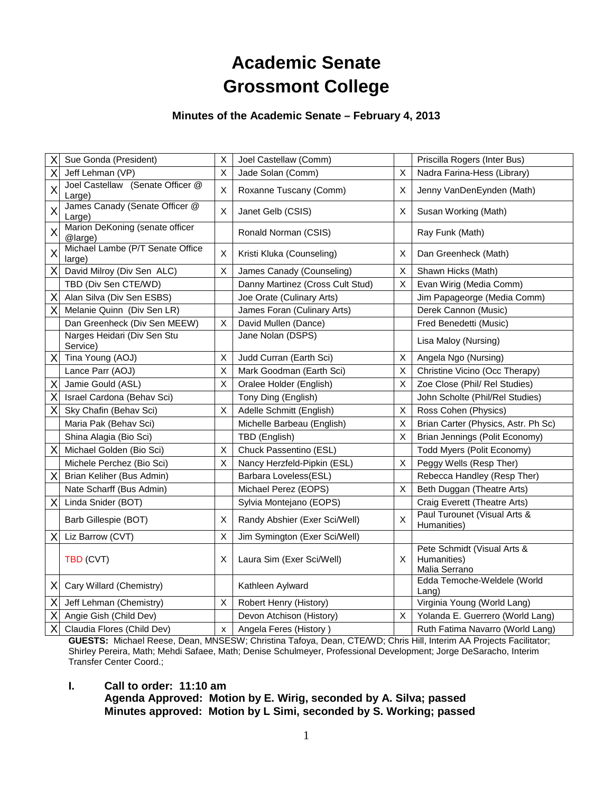# **Academic Senate Grossmont College**

#### **Minutes of the Academic Senate – February 4, 2013**

| X        | Sue Gonda (President)                      | X | Joel Castellaw (Comm)            |    | Priscilla Rogers (Inter Bus)                                |
|----------|--------------------------------------------|---|----------------------------------|----|-------------------------------------------------------------|
| Χ        | Jeff Lehman (VP)                           | X | Jade Solan (Comm)                | X  | Nadra Farina-Hess (Library)                                 |
| X        | Joel Castellaw (Senate Officer @<br>Large) | X | Roxanne Tuscany (Comm)           | X  | Jenny VanDenEynden (Math)                                   |
| X        | James Canady (Senate Officer @<br>Large)   | X | Janet Gelb (CSIS)                | X  | Susan Working (Math)                                        |
| X        | Marion DeKoning (senate officer<br>@large) |   | Ronald Norman (CSIS)             |    | Ray Funk (Math)                                             |
| X        | Michael Lambe (P/T Senate Office<br>large) | X | Kristi Kluka (Counseling)        | X  | Dan Greenheck (Math)                                        |
| X        | David Milroy (Div Sen ALC)                 | X | James Canady (Counseling)        | X. | Shawn Hicks (Math)                                          |
|          | TBD (Div Sen CTE/WD)                       |   | Danny Martinez (Cross Cult Stud) | X. | Evan Wirig (Media Comm)                                     |
| X        | Alan Silva (Div Sen ESBS)                  |   | Joe Orate (Culinary Arts)        |    | Jim Papageorge (Media Comm)                                 |
| X        | Melanie Quinn (Div Sen LR)                 |   | James Foran (Culinary Arts)      |    | Derek Cannon (Music)                                        |
|          | Dan Greenheck (Div Sen MEEW)               | X | David Mullen (Dance)             |    | Fred Benedetti (Music)                                      |
|          | Narges Heidari (Div Sen Stu<br>Service)    |   | Jane Nolan (DSPS)                |    | Lisa Maloy (Nursing)                                        |
| X        | Tina Young (AOJ)                           | X | Judd Curran (Earth Sci)          | X  | Angela Ngo (Nursing)                                        |
|          | Lance Parr (AOJ)                           | X | Mark Goodman (Earth Sci)         | X  | Christine Vicino (Occ Therapy)                              |
| X        | Jamie Gould (ASL)                          | X | Oralee Holder (English)          | X  | Zoe Close (Phil/ Rel Studies)                               |
| X        | Israel Cardona (Behav Sci)                 |   | Tony Ding (English)              |    | John Scholte (Phil/Rel Studies)                             |
| X        | Sky Chafin (Behav Sci)                     | X | Adelle Schmitt (English)         | X  | Ross Cohen (Physics)                                        |
|          | Maria Pak (Behav Sci)                      |   | Michelle Barbeau (English)       | X  | Brian Carter (Physics, Astr. Ph Sc)                         |
|          | Shina Alagia (Bio Sci)                     |   | TBD (English)                    | X  | Brian Jennings (Polit Economy)                              |
| X        | Michael Golden (Bio Sci)                   | X | Chuck Passentino (ESL)           |    | Todd Myers (Polit Economy)                                  |
|          | Michele Perchez (Bio Sci)                  | X | Nancy Herzfeld-Pipkin (ESL)      | X  | Peggy Wells (Resp Ther)                                     |
| X        | Brian Keliher (Bus Admin)                  |   | Barbara Loveless(ESL)            |    | Rebecca Handley (Resp Ther)                                 |
|          | Nate Scharff (Bus Admin)                   |   | Michael Perez (EOPS)             | Χ  | Beth Duggan (Theatre Arts)                                  |
| $\times$ | Linda Snider (BOT)                         |   | Sylvia Montejano (EOPS)          |    | Craig Everett (Theatre Arts)                                |
|          | Barb Gillespie (BOT)                       | X | Randy Abshier (Exer Sci/Well)    | X  | Paul Turounet (Visual Arts &<br>Humanities)                 |
| $\times$ | Liz Barrow (CVT)                           | X | Jim Symington (Exer Sci/Well)    |    |                                                             |
|          | TBD (CVT)                                  | X | Laura Sim (Exer Sci/Well)        | X. | Pete Schmidt (Visual Arts &<br>Humanities)<br>Malia Serrano |
| X        | Cary Willard (Chemistry)                   |   | Kathleen Aylward                 |    | Edda Temoche-Weldele (World<br>Lang)                        |
| Χ        | Jeff Lehman (Chemistry)                    | X | Robert Henry (History)           |    | Virginia Young (World Lang)                                 |
| Χ        | Angie Gish (Child Dev)                     |   | Devon Atchison (History)         | X. | Yolanda E. Guerrero (World Lang)                            |
| X        | Claudia Flores (Child Dev)                 | X | Angela Feres (History)           |    | Ruth Fatima Navarro (World Lang)                            |

**GUESTS:** Michael Reese, Dean, MNSESW; Christina Tafoya, Dean, CTE/WD; Chris Hill, Interim AA Projects Facilitator; Shirley Pereira, Math; Mehdi Safaee, Math; Denise Schulmeyer, Professional Development; Jorge DeSaracho, Interim Transfer Center Coord.;

#### **I. Call to order: 11:10 am**

**Agenda Approved: Motion by E. Wirig, seconded by A. Silva; passed Minutes approved: Motion by L Simi, seconded by S. Working; passed**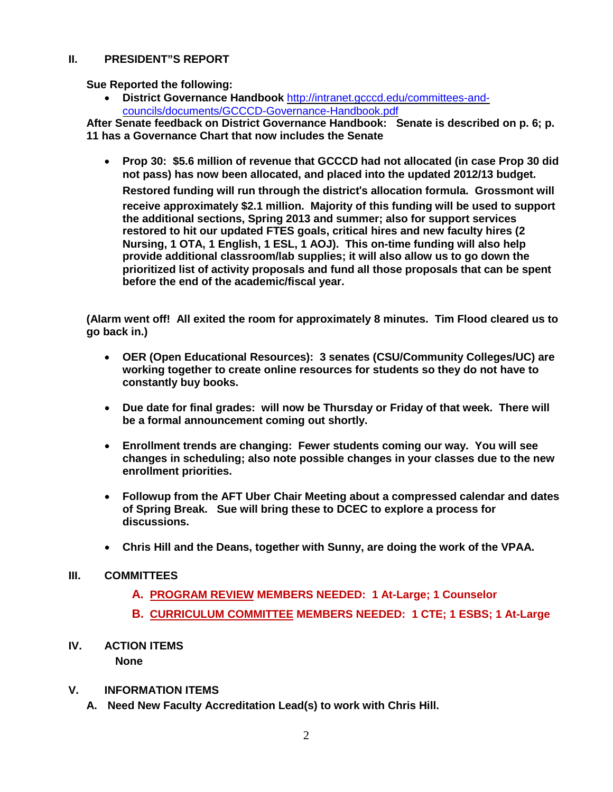### **II. PRESIDENT"S REPORT**

**Sue Reported the following:**

• **District Governance Handbook** [http://intranet.gcccd.edu/committees-and](http://intranet.gcccd.edu/committees-and-councils/documents/gcccd-governance-handbook.pdf)[councils/documents/GCCCD-Governance-Handbook.pdf](http://intranet.gcccd.edu/committees-and-councils/documents/gcccd-governance-handbook.pdf)

**After Senate feedback on District Governance Handbook: Senate is described on p. 6; p. 11 has a Governance Chart that now includes the Senate** 

• **Prop 30: \$5.6 million of revenue that GCCCD had not allocated (in case Prop 30 did not pass) has now been allocated, and placed into the updated 2012/13 budget.** 

**Restored funding will run through the district**'**s allocation formula. Grossmont will receive approximately \$2.1 million. Majority of this funding will be used to support the additional sections, Spring 2013 and summer; also for support services restored to hit our updated FTES goals, critical hires and new faculty hires (2 Nursing, 1 OTA, 1 English, 1 ESL, 1 AOJ). This on-time funding will also help provide additional classroom/lab supplies; it will also allow us to go down the prioritized list of activity proposals and fund all those proposals that can be spent before the end of the academic/fiscal year.**

**(Alarm went off! All exited the room for approximately 8 minutes. Tim Flood cleared us to go back in.)**

- **OER (Open Educational Resources): 3 senates (CSU/Community Colleges/UC) are working together to create online resources for students so they do not have to constantly buy books.**
- **Due date for final grades: will now be Thursday or Friday of that week. There will be a formal announcement coming out shortly.**
- **Enrollment trends are changing: Fewer students coming our way. You will see changes in scheduling; also note possible changes in your classes due to the new enrollment priorities.**
- **Followup from the AFT Uber Chair Meeting about a compressed calendar and dates of Spring Break. Sue will bring these to DCEC to explore a process for discussions.**
- **Chris Hill and the Deans, together with Sunny, are doing the work of the VPAA.**

## **III. COMMITTEES**

- **A. PROGRAM REVIEW MEMBERS NEEDED: 1 At-Large; 1 Counselor**
- **B. CURRICULUM COMMITTEE MEMBERS NEEDED: 1 CTE; 1 ESBS; 1 At-Large**
- **IV. ACTION ITEMS None**
- **V. INFORMATION ITEMS**
	- **A. Need New Faculty Accreditation Lead(s) to work with Chris Hill.**